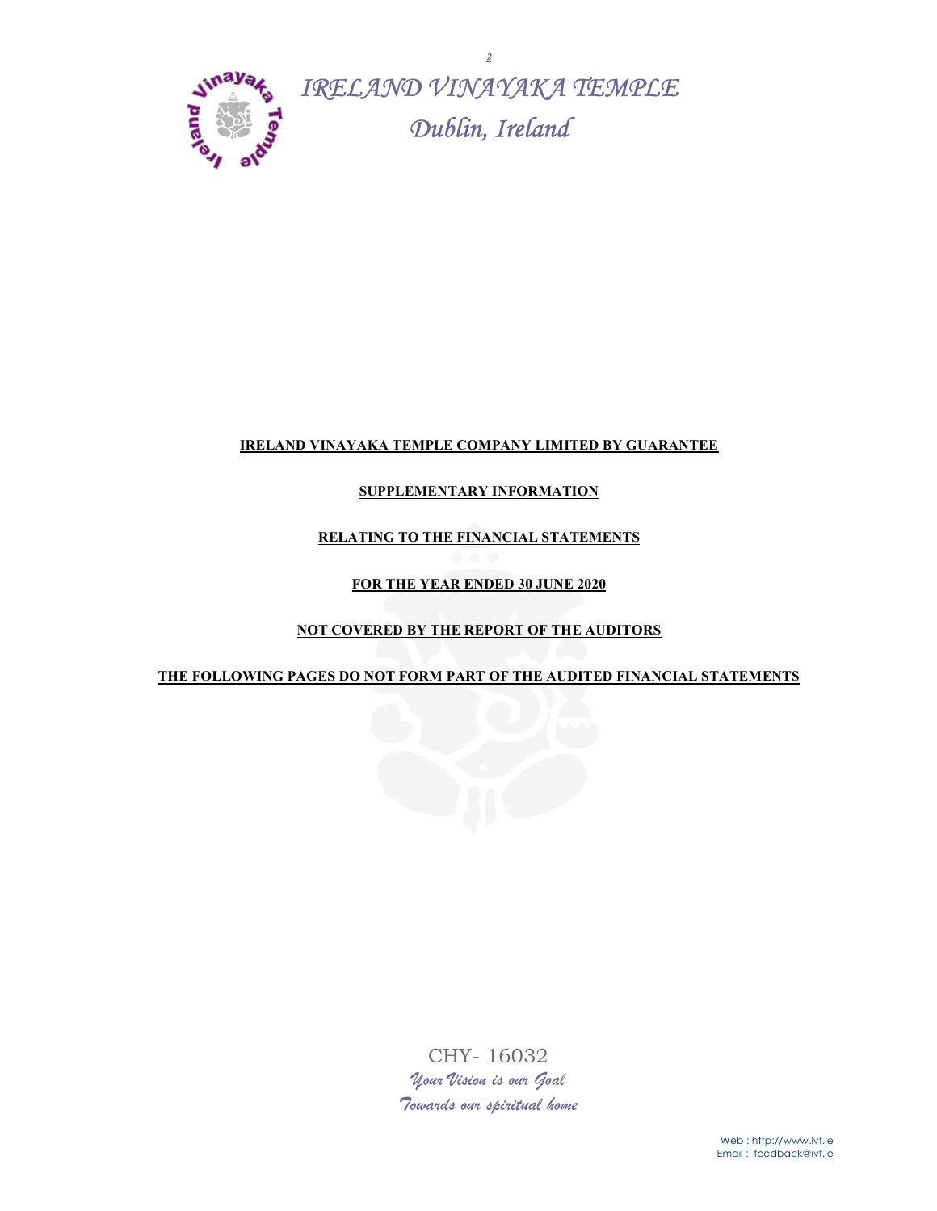

## IRELAND VINAYAKA TEMPLE COMPANY LIMITED BY GUARANTEE

## SUPPLEMENTARY INFORMATION

## RELATING TO THE FINANCIAL STATEMENTS

## FOR THE YEAR ENDED 30 JUNE 2020

## NOT COVERED BY THE REPORT OF THE AUDITORS

#### THE FOLLOWING PAGES DO NOT FORM PART OF THE AUDITED FINANCIAL STATEMENTS



CHY- 16032 Your Vision is our Goal Towards our spiritual home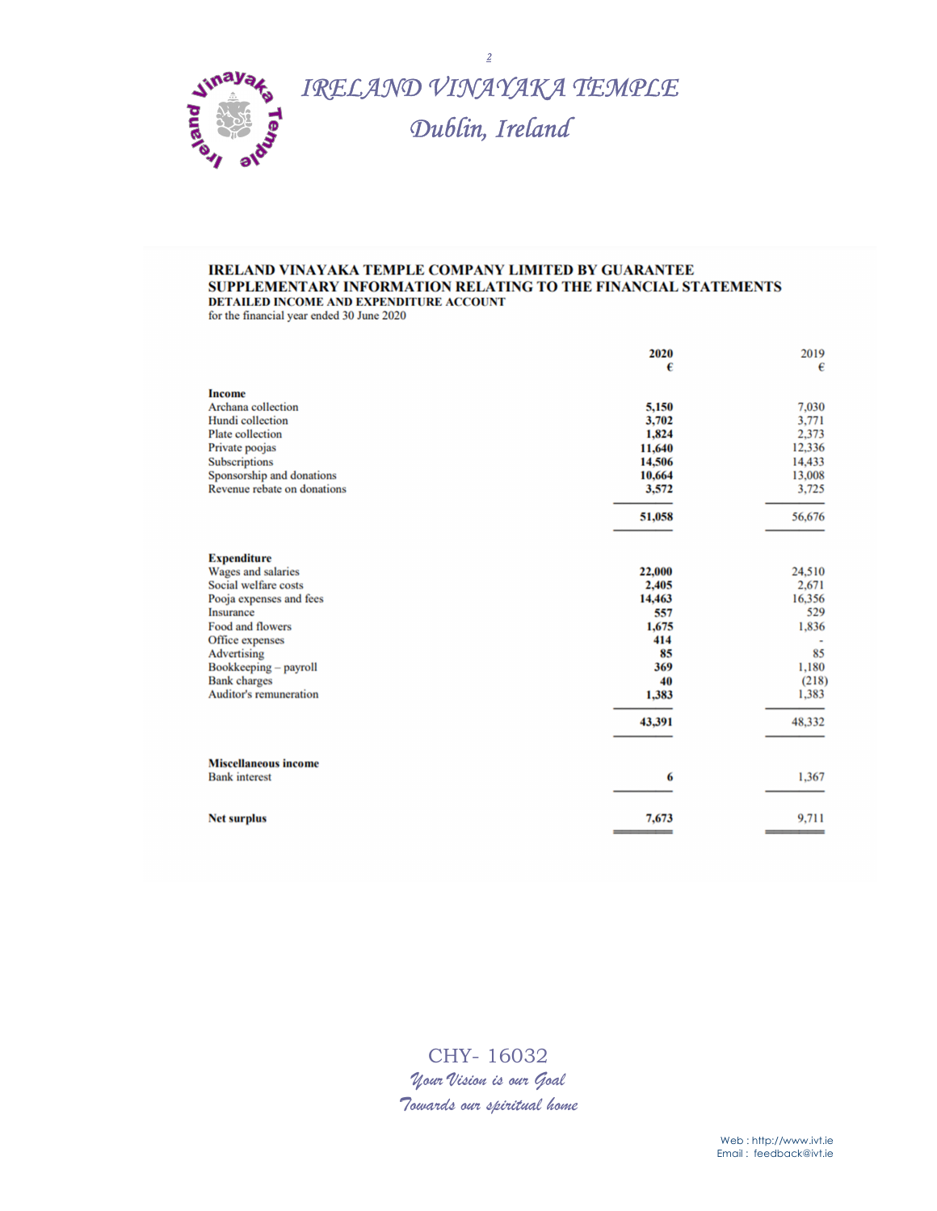

#### **IRELAND VINAYAKA TEMPLE COMPANY LIMITED BY GUARANTEE** SUPPLEMENTARY INFORMATION RELATING TO THE FINANCIAL STATEMENTS DETAILED INCOME AND EXPENDITURE ACCOUNT

for the financial year ended 30 June 2020

|                                                                                                                                                                                                                                                        | 2020<br>€                                                                              | 2019<br>$\boldsymbol{\epsilon}$                                                      |
|--------------------------------------------------------------------------------------------------------------------------------------------------------------------------------------------------------------------------------------------------------|----------------------------------------------------------------------------------------|--------------------------------------------------------------------------------------|
| <b>Income</b><br>Archana collection<br>Hundi collection<br><b>Plate</b> collection<br>Private poojas<br>Subscriptions<br>Sponsorship and donations<br>Revenue rebate on donations                                                                      | 5,150<br>3,702<br>1,824<br>11,640<br>14,506<br>10,664<br>3,572<br>51,058               | 7,030<br>3,771<br>2,373<br>12,336<br>14,433<br>13,008<br>3,725<br>56,676             |
| <b>Expenditure</b><br>Wages and salaries<br>Social welfare costs<br>Pooja expenses and fees<br><b>Insurance</b><br>Food and flowers<br>Office expenses<br>Advertising<br>Bookkeeping - payroll<br><b>Bank</b> charges<br><b>Auditor's remuneration</b> | 22,000<br>2,405<br>14,463<br>557<br>1,675<br>414<br>85<br>369<br>40<br>1,383<br>43,391 | 24,510<br>2,671<br>16,356<br>529<br>1,836<br>85<br>1,180<br>(218)<br>1,383<br>48,332 |
| <b>Miscellaneous income</b><br><b>Bank</b> interest                                                                                                                                                                                                    | 6                                                                                      | 1,367                                                                                |
| <b>Net surplus</b>                                                                                                                                                                                                                                     | 7,673                                                                                  | 9,711                                                                                |

CHY- 16032 Your Vision is our Goal Towards our spiritual home